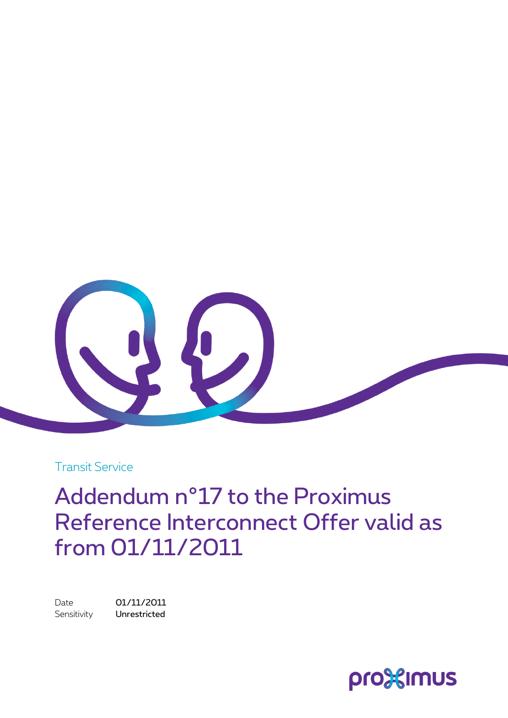

Transit Service

Addendum n°17 to the Proximus Reference Interconnect Offer valid as from 01/11/2011

Date 01/11/2011 Sensitivity **Unrestricted** 

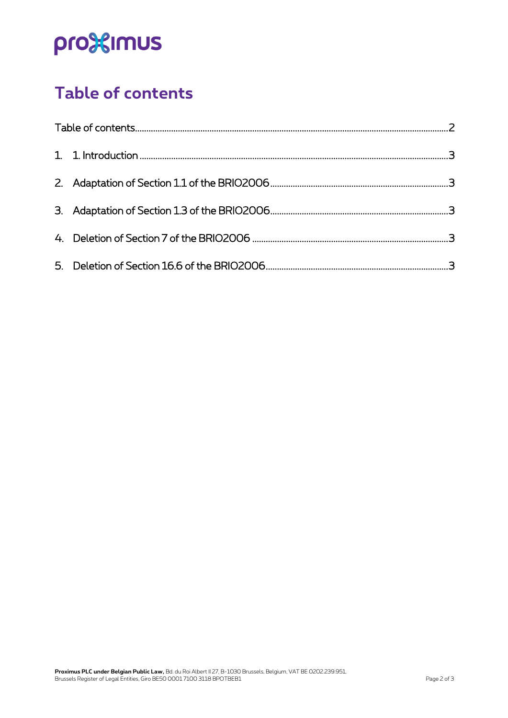# pro<sup>32</sup>imus

# <span id="page-1-0"></span>**Table of contents**